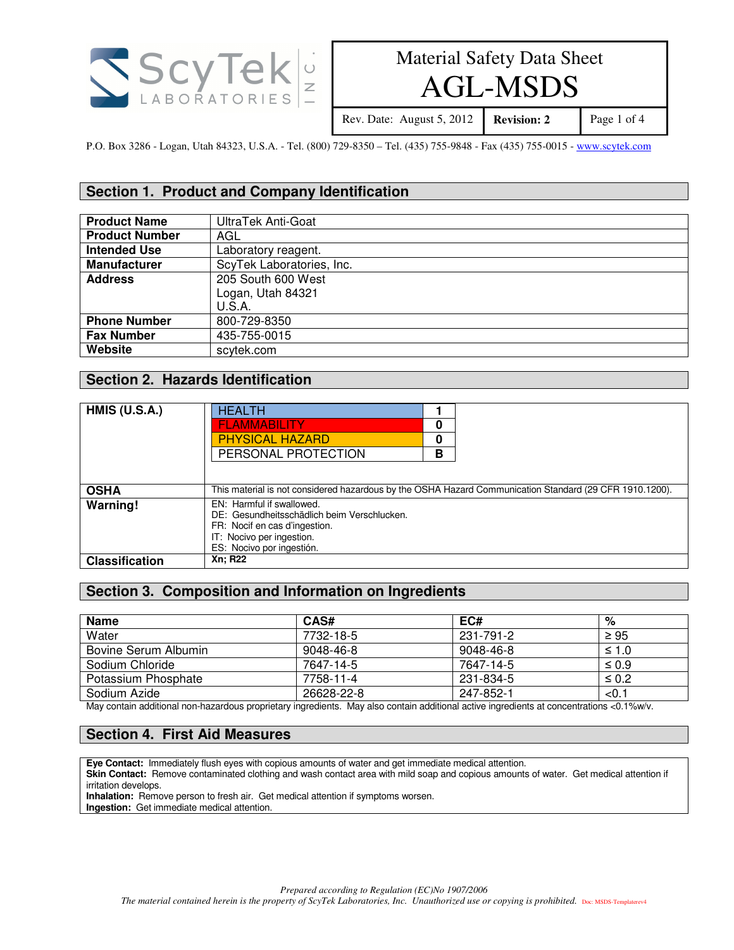

# AGL-MSDS

Rev. Date: August 5, 2012 **Revision: 2** Page 1 of 4

P.O. Box 3286 - Logan, Utah 84323, U.S.A. - Tel. (800) 729-8350 – Tel. (435) 755-9848 - Fax (435) 755-0015 - www.scytek.com

# **Section 1. Product and Company Identification**

| <b>Product Name</b>   | UltraTek Anti-Goat        |
|-----------------------|---------------------------|
| <b>Product Number</b> | AGL                       |
| <b>Intended Use</b>   | Laboratory reagent.       |
| <b>Manufacturer</b>   | ScyTek Laboratories, Inc. |
| <b>Address</b>        | 205 South 600 West        |
|                       | Logan, Utah 84321         |
|                       | U.S.A.                    |
| <b>Phone Number</b>   | 800-729-8350              |
| <b>Fax Number</b>     | 435-755-0015              |
| Website               | scytek.com                |

## **Section 2. Hazards Identification**

| <b>HMIS (U.S.A.)</b>  | <b>HEALTH</b>                                                                                                                                                       |   |                                                                                                         |
|-----------------------|---------------------------------------------------------------------------------------------------------------------------------------------------------------------|---|---------------------------------------------------------------------------------------------------------|
|                       | <b>FLAMMABILITY</b>                                                                                                                                                 | 0 |                                                                                                         |
|                       | <b>PHYSICAL HAZARD</b>                                                                                                                                              | 0 |                                                                                                         |
|                       | PERSONAL PROTECTION                                                                                                                                                 | В |                                                                                                         |
|                       |                                                                                                                                                                     |   |                                                                                                         |
| <b>OSHA</b>           |                                                                                                                                                                     |   | This material is not considered hazardous by the OSHA Hazard Communication Standard (29 CFR 1910.1200). |
| <b>Warning!</b>       | EN: Harmful if swallowed.<br>DE: Gesundheitsschädlich beim Verschlucken.<br>FR: Nocif en cas d'ingestion.<br>IT: Nocivo per ingestion.<br>ES: Nocivo por ingestión. |   |                                                                                                         |
| <b>Classification</b> | <b>Xn</b> ; R22                                                                                                                                                     |   |                                                                                                         |

### **Section 3. Composition and Information on Ingredients**

| <b>Name</b>          | CAS#       | EC#       | %          |
|----------------------|------------|-----------|------------|
| Water                | 7732-18-5  | 231-791-2 | $\geq 95$  |
| Bovine Serum Albumin | 9048-46-8  | 9048-46-8 | $\leq 1.0$ |
| Sodium Chloride      | 7647-14-5  | 7647-14-5 | $\leq 0.9$ |
| Potassium Phosphate  | 7758-11-4  | 231-834-5 | $\leq 0.2$ |
| Sodium Azide         | 26628-22-8 | 247-852-1 | < 0.1      |

May contain additional non-hazardous proprietary ingredients. May also contain additional active ingredients at concentrations <0.1%w/v.

### **Section 4. First Aid Measures**

**Eye Contact:** Immediately flush eyes with copious amounts of water and get immediate medical attention. **Skin Contact:** Remove contaminated clothing and wash contact area with mild soap and copious amounts of water. Get medical attention if irritation develops. **Inhalation:** Remove person to fresh air. Get medical attention if symptoms worsen.

**Ingestion:** Get immediate medical attention.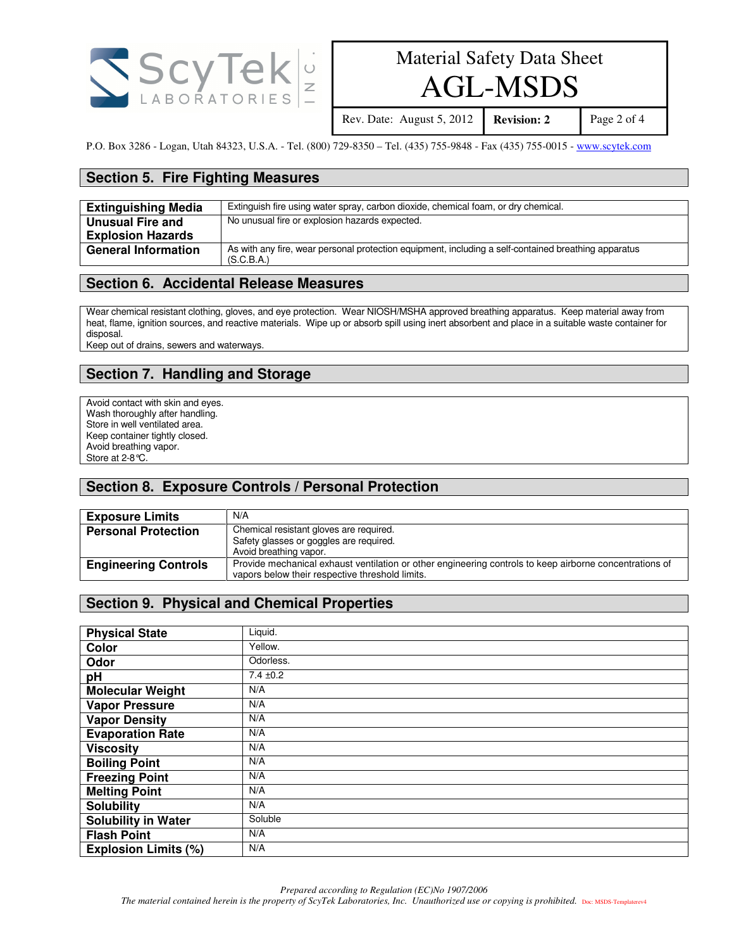

# AGL-MSDS

Rev. Date: August 5, 2012 **Revision: 2** Page 2 of 4

P.O. Box 3286 - Logan, Utah 84323, U.S.A. - Tel. (800) 729-8350 – Tel. (435) 755-9848 - Fax (435) 755-0015 - www.scytek.com

### **Section 5. Fire Fighting Measures**

| <b>Extinguishing Media</b> | Extinguish fire using water spray, carbon dioxide, chemical foam, or dry chemical.                                 |
|----------------------------|--------------------------------------------------------------------------------------------------------------------|
| <b>Unusual Fire and</b>    | No unusual fire or explosion hazards expected.                                                                     |
| <b>Explosion Hazards</b>   |                                                                                                                    |
| <b>General Information</b> | As with any fire, wear personal protection equipment, including a self-contained breathing apparatus<br>(S.C.B.A.) |

#### **Section 6. Accidental Release Measures**

Wear chemical resistant clothing, gloves, and eye protection. Wear NIOSH/MSHA approved breathing apparatus. Keep material away from heat, flame, ignition sources, and reactive materials. Wipe up or absorb spill using inert absorbent and place in a suitable waste container for disposal.

Keep out of drains, sewers and waterways.

# **Section 7. Handling and Storage**

Avoid contact with skin and eyes. Wash thoroughly after handling. Store in well ventilated area. Keep container tightly closed. Avoid breathing vapor. Store at 2-8°C.

### **Section 8. Exposure Controls / Personal Protection**

| <b>Exposure Limits</b>      | N/A                                                                                                     |
|-----------------------------|---------------------------------------------------------------------------------------------------------|
| <b>Personal Protection</b>  | Chemical resistant gloves are required.                                                                 |
|                             | Safety glasses or goggles are required.                                                                 |
|                             | Avoid breathing vapor.                                                                                  |
| <b>Engineering Controls</b> | Provide mechanical exhaust ventilation or other engineering controls to keep airborne concentrations of |
|                             | vapors below their respective threshold limits.                                                         |

# **Section 9. Physical and Chemical Properties**

| <b>Physical State</b>       | Liquid.       |
|-----------------------------|---------------|
| Color                       | Yellow.       |
| Odor                        | Odorless.     |
| pH                          | $7.4 \pm 0.2$ |
| <b>Molecular Weight</b>     | N/A           |
| <b>Vapor Pressure</b>       | N/A           |
| <b>Vapor Density</b>        | N/A           |
| <b>Evaporation Rate</b>     | N/A           |
| <b>Viscosity</b>            | N/A           |
| <b>Boiling Point</b>        | N/A           |
| <b>Freezing Point</b>       | N/A           |
| <b>Melting Point</b>        | N/A           |
| <b>Solubility</b>           | N/A           |
| <b>Solubility in Water</b>  | Soluble       |
| <b>Flash Point</b>          | N/A           |
| <b>Explosion Limits (%)</b> | N/A           |

*Prepared according to Regulation (EC)No 1907/2006* 

*The material contained herein is the property of ScyTek Laboratories, Inc. Unauthorized use or copying is prohibited.* Doc: MSDS-Templaterev4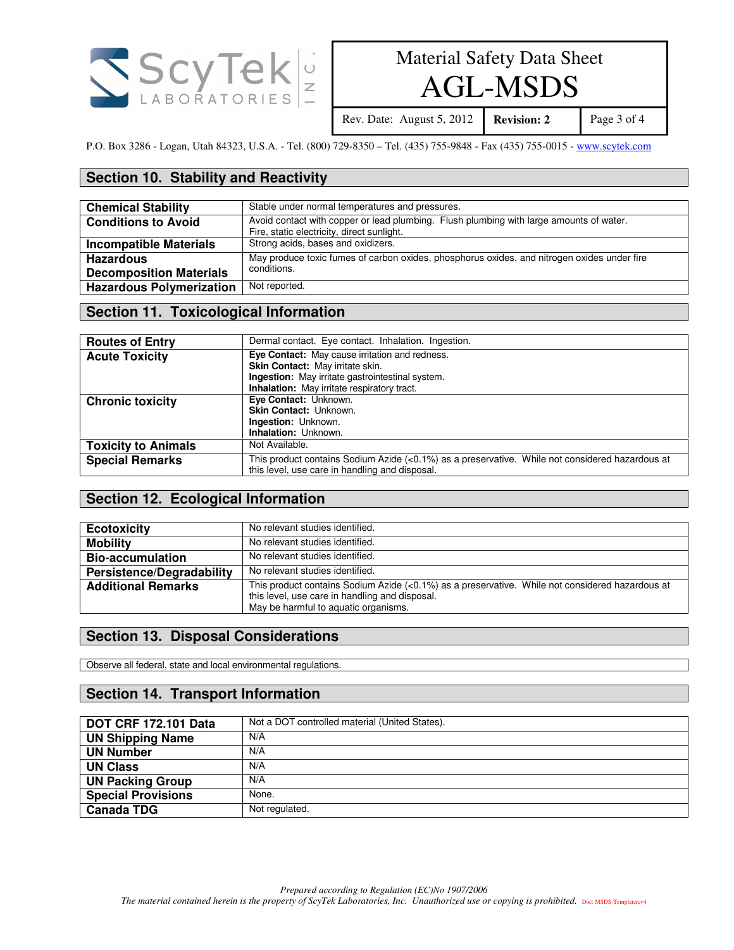

# AGL-MSDS

Rev. Date: August 5, 2012 **Revision: 2** Page 3 of 4

P.O. Box 3286 - Logan, Utah 84323, U.S.A. - Tel. (800) 729-8350 – Tel. (435) 755-9848 - Fax (435) 755-0015 - www.scytek.com

### **Section 10. Stability and Reactivity**

| <b>Chemical Stability</b>       | Stable under normal temperatures and pressures.                                             |
|---------------------------------|---------------------------------------------------------------------------------------------|
| <b>Conditions to Avoid</b>      | Avoid contact with copper or lead plumbing. Flush plumbing with large amounts of water.     |
|                                 | Fire, static electricity, direct sunlight.                                                  |
| <b>Incompatible Materials</b>   | Strong acids, bases and oxidizers.                                                          |
| <b>Hazardous</b>                | May produce toxic fumes of carbon oxides, phosphorus oxides, and nitrogen oxides under fire |
| <b>Decomposition Materials</b>  | conditions.                                                                                 |
| <b>Hazardous Polymerization</b> | Not reported.                                                                               |

# **Section 11. Toxicological Information**

| <b>Routes of Entry</b>     | Dermal contact. Eye contact. Inhalation. Ingestion.                                                                                               |
|----------------------------|---------------------------------------------------------------------------------------------------------------------------------------------------|
| <b>Acute Toxicity</b>      | Eye Contact: May cause irritation and redness.                                                                                                    |
|                            | Skin Contact: May irritate skin.                                                                                                                  |
|                            | <b>Ingestion:</b> May irritate gastrointestinal system.                                                                                           |
|                            | Inhalation: May irritate respiratory tract.                                                                                                       |
| <b>Chronic toxicity</b>    | Eye Contact: Unknown.                                                                                                                             |
|                            | <b>Skin Contact: Unknown.</b>                                                                                                                     |
|                            | <b>Ingestion: Unknown.</b>                                                                                                                        |
|                            | <b>Inhalation: Unknown.</b>                                                                                                                       |
| <b>Toxicity to Animals</b> | Not Available.                                                                                                                                    |
| <b>Special Remarks</b>     | This product contains Sodium Azide (<0.1%) as a preservative. While not considered hazardous at<br>this level, use care in handling and disposal. |

### **Section 12. Ecological Information**

| <b>Ecotoxicity</b>               | No relevant studies identified.                                                                                                                                                           |
|----------------------------------|-------------------------------------------------------------------------------------------------------------------------------------------------------------------------------------------|
| <b>Mobility</b>                  | No relevant studies identified.                                                                                                                                                           |
| <b>Bio-accumulation</b>          | No relevant studies identified.                                                                                                                                                           |
| <b>Persistence/Degradability</b> | No relevant studies identified.                                                                                                                                                           |
| <b>Additional Remarks</b>        | This product contains Sodium Azide (<0.1%) as a preservative. While not considered hazardous at<br>this level, use care in handling and disposal.<br>May be harmful to aquatic organisms. |

### **Section 13. Disposal Considerations**

Observe all federal, state and local environmental regulations.

#### **Section 14. Transport Information**

| <b>DOT CRF 172.101 Data</b> | Not a DOT controlled material (United States). |
|-----------------------------|------------------------------------------------|
| <b>UN Shipping Name</b>     | N/A                                            |
| <b>UN Number</b>            | N/A                                            |
| <b>UN Class</b>             | N/A                                            |
| <b>UN Packing Group</b>     | N/A                                            |
| <b>Special Provisions</b>   | None.                                          |
| <b>Canada TDG</b>           | Not regulated.                                 |